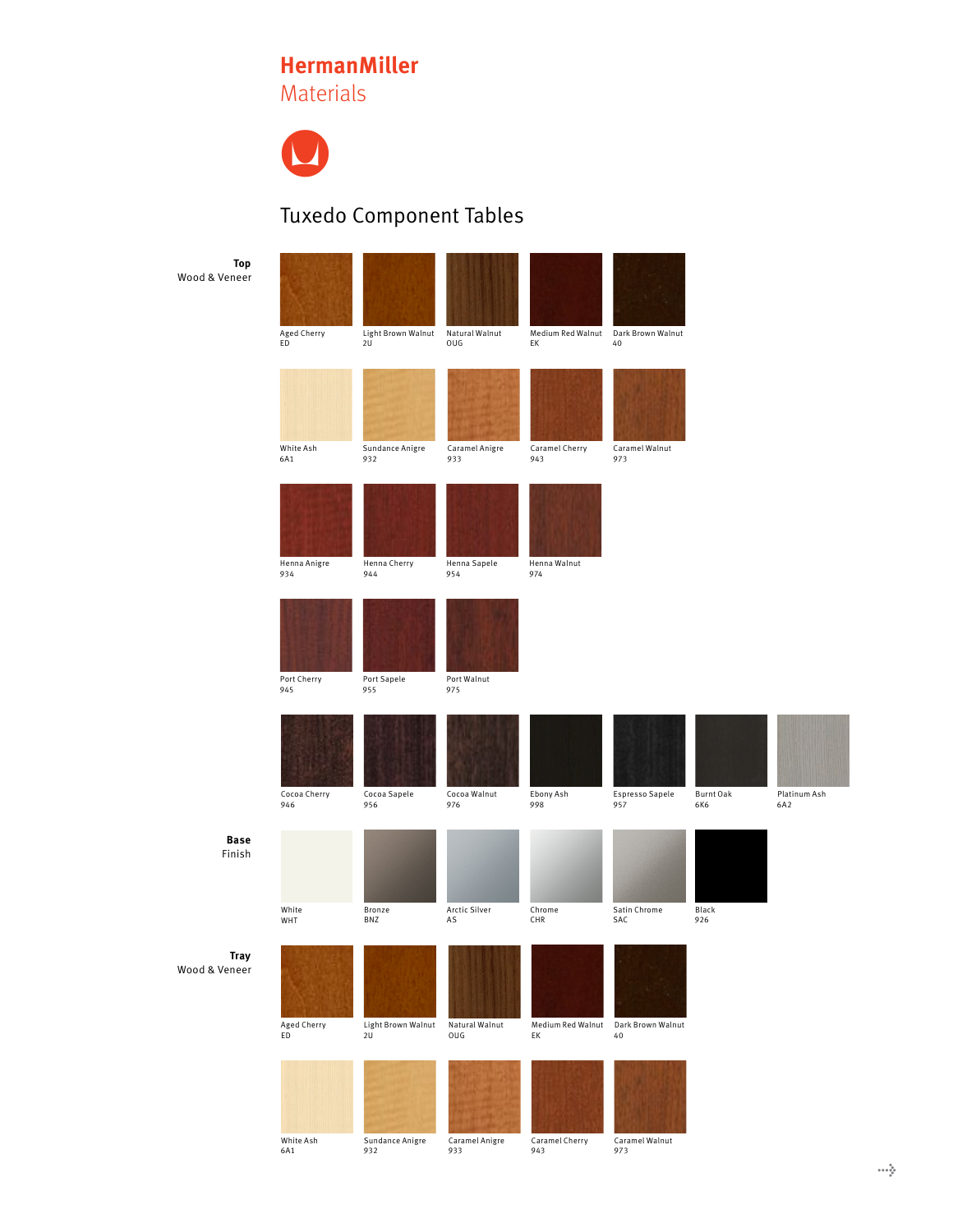## **HermanMiller**

Materials



## Tuxedo Component Tables

| Top<br>Wood & Veneer         | Aged Cherry<br>ED   | Light Brown Walnut<br>2U | Natural Walnut<br>OUG | Medium Red Walnut<br>EK | Dark Brown Walnut<br>40 |                  |               |
|------------------------------|---------------------|--------------------------|-----------------------|-------------------------|-------------------------|------------------|---------------|
|                              | White Ash<br>6A1    | Sundance Anigre<br>932   | Caramel Anigre<br>933 | Caramel Cherry<br>943   | Caramel Walnut<br>973   |                  |               |
|                              | Henna Anigre<br>934 | Henna Cherry<br>944      | Henna Sapele<br>954   | Henna Walnut<br>974     |                         |                  |               |
|                              | Port Cherry<br>945  | Port Sapele<br>955       | Port Walnut<br>975    |                         |                         |                  |               |
|                              | Cocoa Cherry<br>946 | Cocoa Sapele<br>956      | Cocoa Walnut<br>976   | Ebony Ash<br>998        | Espresso Sapele<br>957  | Burnt Oak<br>6K6 | Platir<br>6A2 |
| <b>Base</b><br>Finish        | White<br>WHT        | Bronze<br>BNZ            | Arctic Silver<br>AS   | Chrome<br>CHR           | Satin Chrome<br>SAC     | Black<br>926     |               |
| <b>Tray</b><br>Wood & Veneer | Aged Cherry<br>ED   | Light Brown Walnut<br>2U | Natural Walnut<br>OUG | Medium Red Walnut<br>EK | Dark Brown Walnut<br>40 |                  |               |
|                              |                     |                          |                       |                         |                         |                  |               |

White Ash 6A1

L Sundance Anigre 932 Caramel Anigre 933

Caramel Cherry 943

L. Caramel Walnut 973